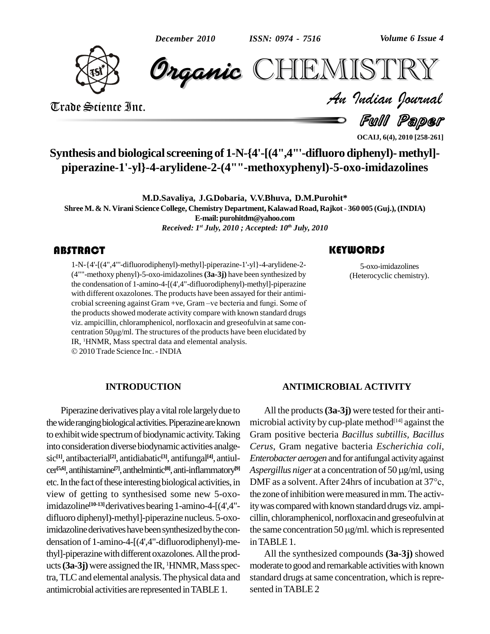

**CHEMISTRY** 

Trade Science Inc. Trade Science Inc.

Full Paper *Volume 6 Issue 4*<br> $\begin{array}{l} \blacksquare \begin{array}{c} \blacksquare \ \blacksquare \end{array} \end{array}$ 

**OCAIJ, 6(4), 2010 [258-261]**

**Synthesis and biologicalscreening of 1-N-{4'-[(4",4"'-difluoro diphenyl)- methyl] piperazine-1'-yl}-4-arylidene-2-(4""-methoxyphenyl)-5-oxo-imidazolines**

**M.D.Savaliya, J.G.Dobaria, V.V.Bhuva, D.M.Purohit\* Shree M.& N. Virani Science College, Chemistry Department, KalawadRoad, Rajkot- 360 005 (Guj.), (INDIA) E-mail:[purohitdm@yahoo.com](mailto:purohitdm@yahoo.com)** *Received: 1 st July, 2010 ; Accepted: 10 th July, 2010*

# **ABSTRACT**

1-N-{4'-[(4",4"'-difluorodiphenyl)-methyl]-piperazine-1'-yl}-4-arylidene-2-<br>(4""-methoxy phenyl)-5-oxo-imidazolines (**3a-3j**) have been synthesized by<br>the condensation of 1-amino-4-[(4',4"-difluorodiphenyl)-methyl]-piperaz 1-N-{4'-[(4",4"'-difluorodiphenyl)-methyl]-piperazine-1'-yl}-4-arylidene-2- (4""-methoxy phenyl)-5-oxo-imidazolines**(3a-3j)** have been synthesized by with different oxazolones. The products have been assayed for their antimi crobial screening against Gram +ve, Gram -ve becteria and fungi. Some of the products showed moderate activity compare with known standard drugs viz. ampicillin, chloramphenicol, norfloxacin and greseofulvin atsame con the products showed moderate activity compare with known standard drugs<br>viz. ampicillin, chloramphenicol, norfloxacin and greseofulvin at same con-<br>centration 50µg/ml. The structures of the products have been elucidated by centration 50 $\mu$ g/ml. The structures of the products have been elucidated by IR, <sup>1</sup>HNMR, Mass spectral data and elemental analysis. 2010Trade Science Inc. - INDIA

### **INTRODUCTION**

Piperazine derivatives play a vital role largely due to the wide ranging biological activities. Piperazine are known to exhibit wide spectrum of biodynamic activity. Taking into consideration diverse biodynamic activities analgesic **[1]**, antibacterial **[2]**, antidiabatic **[3]**, antifungal **[4]**, antiul cer<sup>[5,6]</sup>, antihistamine<sup>[7]</sup>, anthelmintic<sup>[8]</sup>, anti-inflammatory<sup>[9]</sup> Asper etc. In the fact of these interesting biological activities, in DMF as a solvent. After 24hrs of incubation at 37<sup>o</sup>c, view of getting to synthesised some new 5-oxoimidazoline<sup>[10-13]</sup>derivatives bearing 1-amino-4-[(4',4"- ity v difluoro diphenyl)-methyl]-piperazine nucleus. 5-oxoimidazoline derivatives have been synthesized by the con- $\theta$  the same concentration 50  $\mu$ g/ml. which is represented densation of 1-amino-4-[(4',4"-difluorodiphenyl)-methyl]-piperazine with different oxazolones. All the products (3a-3j) were assigned the IR, <sup>1</sup>HNMR, Mass spectra,TLCand elemental analysis.The physical data and antimicrobial activities arerepresented inTABLE1.

5-oxo-imidazolines<br>(Heterocyclic chemist 5-oxo-imidazolines (Heterocyclic chemistry).

### **ANTIMICROBIAL ACTIVITY**

All the products (3a-3j) were tested for their antimicrobial activity by cup-plate method [14] against the Gram positive becteria *Bacillus subtillis, Bacillus Cerus*, Gram negative bacteria *Escherichia coli*, *Enterobacter aerogen* and forantifungal activityagainst *Cerus*, Gram negative bacteria *Escherichia coli,*<br>*Enterobacter aerogen* and for antifungal activity against<br>Aspergillus niger at a concentration of 50 µg/ml, using As pergillus niger at a concentration of 50  $\mu$ g/ml, using the zone of inhibition were measured in mm. The activity was compared with known standard drugs viz. ampicillin, chloramphenicol, norfloxacinand greseofulvin at ity was compared with known standard drugs viz. ampi-<br>cillin, chloramphenicol, norfloxacin and greseofulvin at<br>the same concentration 50 µg/ml. which is represented inTABLE1.

All the synthesized compounds **(3a-3j)** showed moderate to good and remarkable activities with known standard drugs at same concentration, which is represented inTABLE 2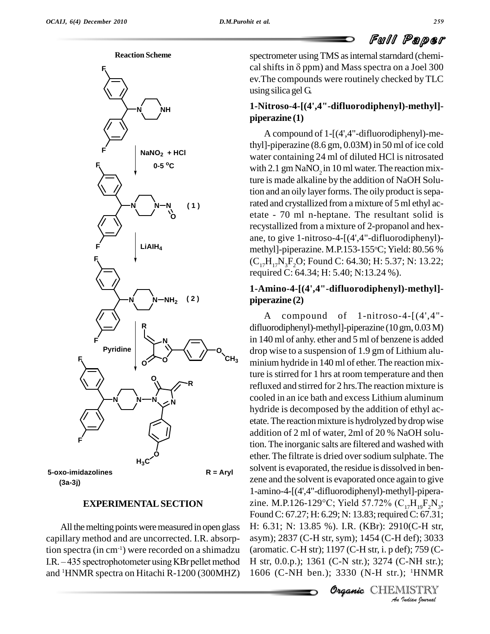





### **EXPERIMENTALSECTION**

All the melting points were measured in open glass capillary method and are uncorrected. I.R. absorption spectra (in cm<sup>-1</sup>) were recorded on a shimadzu (aroma capillary method and are uncorrected. I.R. absorp-<br>tion spectra (in cm<sup>-1</sup>) were recorded on a shimadzu (aroma<br>I.R. – 435 spectrophotometer using KBr pellet method H str, and <sup>1</sup>HNMR spectra on Hitachi R-1200 (300MHZ)

spectrometer using TMS as internal starndard (chemical shifts in  $\delta$  ppm) and Mass spectra on a Joel 300 ev.The compounds were routinely checked byTLC using silica gel G.

# **1-Nitroso-4-[(4',4"-difluorodiphenyl)-methyl] piperazine (1)**

A compound of 1-[(4',4"-difluorodiphenyl)-methyl]-piperazine (8.6 gm, 0.03M) in 50 ml of ice cold water containing 24 ml of diluted HCl is nitrosated with 2.1 gm  $\text{NaNO}_2$  in 10 ml water. The reaction mixture is made alkaline by the addition of NaOH Solution and an oily layer forms. The oily product is separated and crystallized from a mixture of 5ml ethyl ac etate - 70 ml n-heptane. The resultant solid is recystallized from a mixture of 2-propanol and hex ane, to give 1-nitroso-4-[(4',4"-difluorodiphenyl) methyl]-piperazine. M.P.153-155°C; Yield: 80.56 %  $(C_{17}H_{17}N_xF_2O;$  Found C: 64.30; H: 5.37; N: 13.22; required C: 64.34; H: 5.40; N:13.24 %).

# **1-Amino-4-[(4',4"-difluorodiphenyl)-methyl] piperazine (2)**

**Organic**H: 6.31; N: 13.85 %).I.R. (KBr): 2910(C-H str, *An*asym); 2837 (C-H str, sym); 1454 (C-H def); 3033 *I*<br>*I* def); 3033<br>*I I J J I C*<br>*C*-NH str.);<br>*I I* HNMR<br>II STRY A compound of 1-nitroso-4-[(4',4" difluorodiphenyl)-methyl]-piperazine (10 gm, 0.03M) in 140 ml of anhy. ether and 5 ml of benzene is added drop wise to a suspension of 1.9 gm of Lithium alu- **O**  $CH_3$  minium hydride in 140 ml of ether. The reaction mixture isstirred for 1 hrs at room temperature and then refluxed and stirred for 2 hrs.The reaction mixture is cooled in an ice bath and excess Lithium aluminum hydride is decomposed by the addition of ethyl ac etate. The reaction mixture is hydrolyzed by drop wise addition of 2 ml of water, 2ml of 20 % NaOH solution. The inorganic salts are filtered and washed with ether. The filtrate is dried oversodium sulphate. The solvent is evaporated, the residue is dissolved in ben zene and the solvent is evaporated once again to give 1-amino-4-[(4',4"-difluorodiphenyl)-methyl]-pipera zene and the solvent is evaporated once again to give<br>1-amino-4-[(4',4"-difluorodiphenyl)-methyl]-pipera-<br>zine. M.P.126-129°C; Yield 57.72% ( $C_{17}H_{19}F_2N_3$ ; Found C: 67.27; H: 6.29; N: 13.83; required C: 67.31; (aromatic. C-H str); 1197 (C-H str, i. p def); 759 (C- H str, 0.0.p.); 1361 (C-N str.); 3274 (C-NH str.); 1606 (C-NH ben.); 3330 (N-H str.); <sup>1</sup>HNMR

Organic CHEMISTRY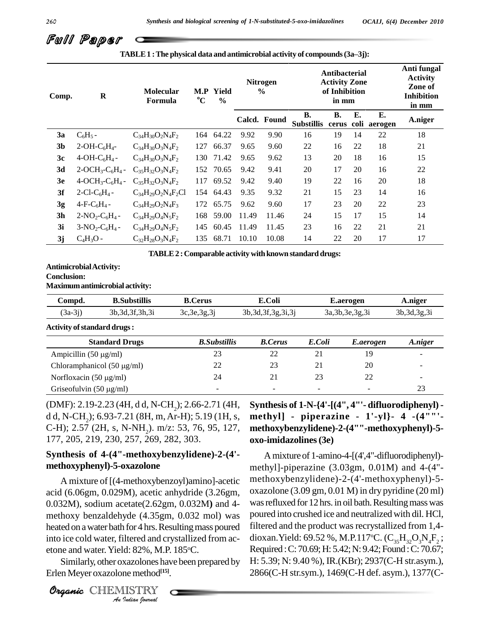# Full Paper

| Comp.          | $\bf{R}$                             | Molecular<br>Formula      | $\mathbf{M}.\mathbf{P}$<br>$\rm ^{o}C$ | Yield<br>$\frac{0}{0}$ | <b>Nitrogen</b><br>$\frac{6}{9}$ |              | <b>Antibacterial</b><br><b>Activity Zone</b><br>of Inhibition<br>in mm |                    |    | Anti fungal<br><b>Activity</b><br>Zone of<br><b>Inhibition</b><br>in mm |         |
|----------------|--------------------------------------|---------------------------|----------------------------------------|------------------------|----------------------------------|--------------|------------------------------------------------------------------------|--------------------|----|-------------------------------------------------------------------------|---------|
|                |                                      |                           |                                        |                        |                                  | Calcd. Found | <b>B.</b><br><b>Substillis</b>                                         | <b>B.</b><br>cerus | Е. | Е.<br>coli aerogen                                                      | A.niger |
| 3a             | $C_6H_5 -$                           | $C_{34}H_{30}O_2N_4F_2$   | 164                                    | 64.22                  | 9.92                             | 9.90         | 16                                                                     | 19                 | 14 | 22                                                                      | 18      |
| 3 <sub>b</sub> | $2-OH-C6H4$ -                        | $C_{34}H_{30}O_3N_4F_2$   | 127                                    | 66.37                  | 9.65                             | 9.60         | 22                                                                     | 16                 | 22 | 18                                                                      | 21      |
| 3c             | $4-OH-C6H4$ -                        | $C_{34}H_{30}O_3N_4F_2$   | 130                                    | 71.42                  | 9.65                             | 9.62         | 13                                                                     | 20                 | 18 | 16                                                                      | 15      |
| 3d             | $2-OCH_3-C_6H_4 -$                   | $C_{35}H_{32}O_3N_4F_2$   | 152                                    | 70.65                  | 9.42                             | 9.41         | 20                                                                     | 17                 | 20 | 16                                                                      | 22      |
| 3e             | $4-OCH_3-C_6H_4 -$                   | $C_{35}H_{32}O_3N_4F_2$   | 117                                    | 69.52                  | 9.42                             | 9.40         | 19                                                                     | 22                 | 16 | 20                                                                      | 18      |
| 3f             | 2-Cl-C <sub>6</sub> H <sub>4</sub> - | $C_{34}H_{29}O_2N_4F_2Cl$ | 154                                    | 64.43                  | 9.35                             | 9.32         | 21                                                                     | 15                 | 23 | 14                                                                      | 16      |
| 3g             | $4-F-C6H4$ -                         | $C_{34}H_{29}O_2N_4F_3$   | 172                                    | 65.75                  | 9.62                             | 9.60         | 17                                                                     | 23                 | 20 | 22                                                                      | 23      |
| 3 <sub>h</sub> | $2-NO_2-C_6H_4$ -                    | $C_{34}H_{29}O_4N_5F_2$   | 168                                    | 59.00                  | 11.49                            | 11.46        | 24                                                                     | 15                 | 17 | 15                                                                      | 14      |
| 3i             | $3-NO_2-C_6H_4$ -                    | $C_{34}H_{29}O_4N_5F_2$   | 145                                    | 60.45                  | 11.49                            | 11.45        | 23                                                                     | 16                 | 22 | 21                                                                      | 21      |
| 3j             | $C_4H_3O$ -                          | $C_{32}H_{28}O_3N_4F_2$   | 135                                    | 68.71                  | 10.10                            | 10.08        | 14                                                                     | 22                 | 20 | 17                                                                      | 17      |

**TABLE1 :The physical data and antimicrobial activity of compounds(3añ3j):**

**TABLE2 :Comparable activity withknown standard drugs:**

### **AntimicrobialActivity: Conclusion:**

**Maximumantimicrobial activity:**

| Compd.    | <b>B.Substillis</b> | <b>B.Cerus</b> | E.Coli                 | <b>E.aerogen</b>   | A.niger        |
|-----------|---------------------|----------------|------------------------|--------------------|----------------|
| $(3a-3j)$ | 3b, 3d, 3f, 3h, 3i  | 3c, 3e, 3g, 3j | 3b, 3d, 3f, 3g, 3i, 3j | 3a, 3b, 3e, 3g, 3i | 3b, 3d, 3g, 3i |

**Activity ofstandard drugs:**

| <b>Standard Drugs</b>           | <b>B.</b> Substillis     | <b>B.Cerus</b>           | E.Coli | E.aerogen | A.niger                  |
|---------------------------------|--------------------------|--------------------------|--------|-----------|--------------------------|
| Ampicillin $(50 \mu g/ml)$      |                          | 22                       | 21     |           | $\overline{\phantom{a}}$ |
| Chloramphanicol $(50 \mu g/ml)$ |                          | 23                       | 21     | 20        | $\overline{\phantom{a}}$ |
| Norfloxacin $(50 \mu g/ml)$     | 24                       | 21                       | 23     | つつ        | $\overline{\phantom{a}}$ |
| Griseofulvin $(50 \mu g/ml)$    | $\overline{\phantom{a}}$ | $\overline{\phantom{a}}$ | $\sim$ | $\sim$    | 23                       |

(DMF): 2.19-2.23 (4H, d d, N-CH<sub>2</sub>); 2.66-2.71 (4H, d d, N-CH<sub>2</sub>); 6.93-7.21 (8H, m, Ar-H); 5.19 (1H, s, C-H); 2.57 (2H, s, N-NH<sub>2</sub>). m/z: 53, 76, 95, 127, 177, 205, 219, 230, 257, 269, 282, 303.

# **Synthesis of 4-(4"-methoxybenzylidene)-2-(4' methoxyphenyl)-5-oxazolone**

*Anaboration a water bath for 4 hrs. Resulting mass poured filtered*<br>into iso and water filtered and smatelling from an discussed *Indian*<br>*Id*: 82%, M.P<br>xazolones ha<br>me method<sup>[15]</sup><br>IISTRY A mixture of [(4-methoxybenzoyl)amino]-acetic acid (6.06gm, 0.029M), acetic anhydride (3.26gm, 0.032M), sodium acetate(2.62gm, 0.032M**)** and 4 methoxy benzaldehyde (4.35gm, 0.032 mol) was into ice cold water, filtered and crystallized from ac etone and water. Yield: 82%, M.P. 185°C.

Similarly, other oxazolones have been prepared by Erlen Meyer oxazolonemethod **[15]**.

**Synthesis of 1-N-{4'-[(4", 4"'- difluorodiphenyl) methyl] - piperazine - 1'-yl}- 4 -(4""' methoxybenzylidene)-2-(4""-methoxyphenyl)-5 oxo-imidazolines(3e)**

Amixture of 1-amino-4-[(4',4"-difluorodiphenyl) methyl]-piperazine (3.03gm, 0.01M) and 4-(4" methoxybenzylidene)-2-(4'-methoxyphenyl)-5 oxazolone (3.09 gm, 0.01 M) in dry pyridine (20 ml) was refluxed for 12 hrs. in oil bath. Resulting mass was poured into crushed ice and neutralized with dil. HCl, filtered and the product was recrystallized from 1,4dioxan.Yield: 69.52 %, M.P.117°C. ( $C_{35}H_{32}O_3N_4F_2$ ; Required :C: 70.69;H: 5.42;N: 9.42;Found :C: 70.67; H: 5.39; N: 9.40 %), IR.(KBr); 2937(C-H str.asym.), 2866(C-H str.sym.), 1469(C-H def. asym.), 1377(C-